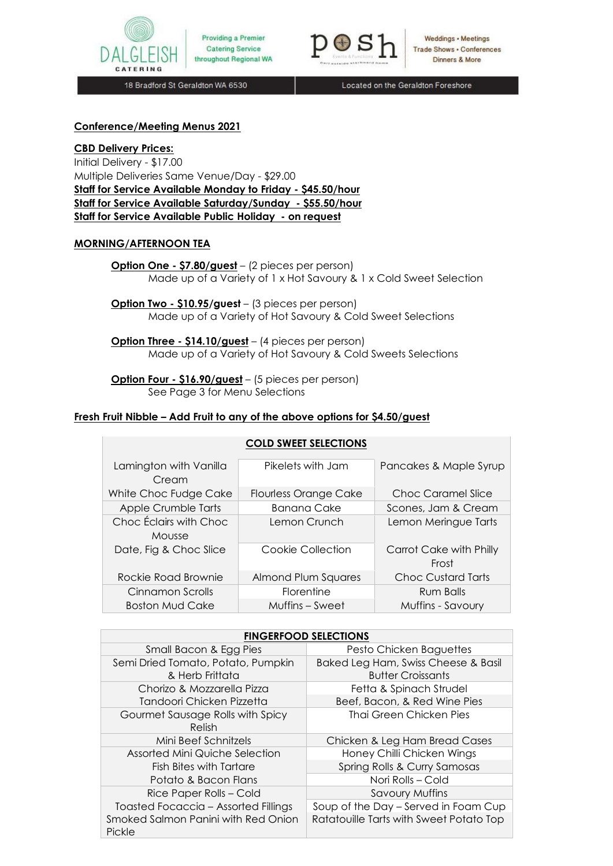



Weddings • Meetings **Trade Shows - Conferences** Dinners & More

18 Bradford St Geraldton WA 6530

Located on the Geraldton Foreshore

### **Conference/Meeting Menus 2021**

**CBD Delivery Prices:**  Initial Delivery - \$17.00 Multiple Deliveries Same Venue/Day - \$29.00 **Staff for Service Available Monday to Friday - \$45.50/hour Staff for Service Available Saturday/Sunday - \$55.50/hour Staff for Service Available Public Holiday - on request**

# **MORNING/AFTERNOON TEA**

**Option One - \$7.80/guest** – (2 pieces per person) Made up of a Variety of 1 x Hot Savoury & 1 x Cold Sweet Selection

**Option Two - \$10.95/guest** – (3 pieces per person) Made up of a Variety of Hot Savoury & Cold Sweet Selections

**Option Three - \$14.10/guest** – (4 pieces per person) Made up of a Variety of Hot Savoury & Cold Sweets Selections

**Option Four - \$16.90/guest** – (5 pieces per person) See Page 3 for Menu Selections

#### **Fresh Fruit Nibble – Add Fruit to any of the above options for \$4.50/guest**

| <b>COLD SWEET SELECTIONS</b>     |                              |                                  |
|----------------------------------|------------------------------|----------------------------------|
| Lamington with Vanilla<br>Cream  | Pikelets with Jam            | Pancakes & Maple Syrup           |
| White Choc Fudge Cake            | <b>Flourless Orange Cake</b> | Choc Caramel Slice               |
| Apple Crumble Tarts              | Banana Cake                  | Scones, Jam & Cream              |
| Choc Éclairs with Choc<br>Mousse | Lemon Crunch                 | Lemon Meringue Tarts             |
| Date, Fig & Choc Slice           | Cookie Collection            | Carrot Cake with Philly<br>Frost |
| Rockie Road Brownie              | Almond Plum Squares          | <b>Choc Custard Tarts</b>        |
| Cinnamon Scrolls                 | <b>Florentine</b>            | Rum Balls                        |
| <b>Boston Mud Cake</b>           | Muffins – Sweet              | Muffins - Savoury                |

| <b>FINGERFOOD SELECTIONS</b>                  |                                         |  |  |  |
|-----------------------------------------------|-----------------------------------------|--|--|--|
| Small Bacon & Egg Pies                        | Pesto Chicken Baguettes                 |  |  |  |
| Semi Dried Tomato, Potato, Pumpkin            | Baked Leg Ham, Swiss Cheese & Basil     |  |  |  |
| & Herb Frittata                               | <b>Butter Croissants</b>                |  |  |  |
| Chorizo & Mozzarella Pizza                    | Fetta & Spinach Strudel                 |  |  |  |
| Tandoori Chicken Pizzetta                     | Beef, Bacon, & Red Wine Pies            |  |  |  |
| Gourmet Sausage Rolls with Spicy              | Thai Green Chicken Pies                 |  |  |  |
| Relish                                        |                                         |  |  |  |
| Mini Beef Schnitzels                          | Chicken & Leg Ham Bread Cases           |  |  |  |
| Assorted Mini Quiche Selection                | Honey Chilli Chicken Wings              |  |  |  |
| Fish Bites with Tartare                       | Spring Rolls & Curry Samosas            |  |  |  |
| Potato & Bacon Flans                          | Nori Rolls - Cold                       |  |  |  |
| Rice Paper Rolls - Cold                       | <b>Savoury Muffins</b>                  |  |  |  |
| Toasted Focaccia - Assorted Fillings          | Soup of the Day – Served in Foam Cup    |  |  |  |
| Smoked Salmon Panini with Red Onion<br>Pickle | Ratatouille Tarts with Sweet Potato Top |  |  |  |

# **COLD SWEET SELECTIONS**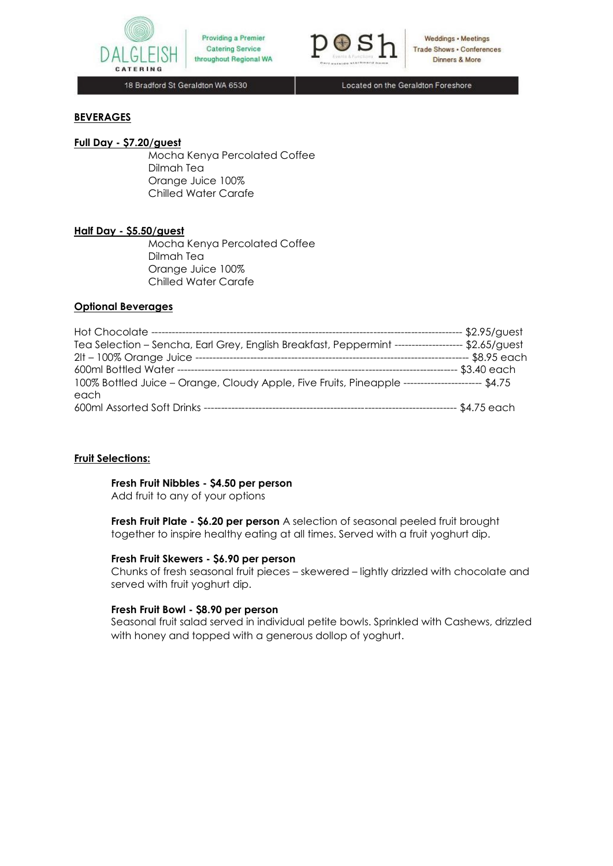



**Weddings • Meetings Trade Shows . Conferences** Dinners & More

18 Bradford St Geraldton WA 6530

Located on the Geraldton Foreshore

# **BEVERAGES**

#### **Full Day - \$7.20/guest**

Mocha Kenya Percolated Coffee Dilmah Tea Orange Juice 100% Chilled Water Carafe

#### **Half Day - \$5.50/guest**

Mocha Kenya Percolated Coffee Dilmah Tea Orange Juice 100% Chilled Water Carafe

#### **Optional Beverages**

| Hot Chocolate ----------------                                                   | - \$2.95/guest |
|----------------------------------------------------------------------------------|----------------|
| Tea Selection - Sencha, Earl Grey, English Breakfast, Peppermint --------------- | $-52.65/gust$  |
| 2lt - 100% Orange Juice ---                                                      | -- \$8.95 each |
| 600ml Bottled Water ----------------                                             | \$3.40 each    |
| 100% Bottled Juice – Orange, Cloudy Apple, Five Fruits, Pineapple --             |                |
| each                                                                             |                |
| 600ml Assorted Soft Drinks --------------------------------                      | - \$4.75 each  |

# **Fruit Selections:**

# **Fresh Fruit Nibbles - \$4.50 per person**

Add fruit to any of your options

**Fresh Fruit Plate - \$6.20 per person** A selection of seasonal peeled fruit brought together to inspire healthy eating at all times. Served with a fruit yoghurt dip.

#### **Fresh Fruit Skewers - \$6.90 per person**

Chunks of fresh seasonal fruit pieces – skewered – lightly drizzled with chocolate and served with fruit yoghurt dip.

#### **Fresh Fruit Bowl - \$8.90 per person**

Seasonal fruit salad served in individual petite bowls. Sprinkled with Cashews, drizzled with honey and topped with a generous dollop of yoghurt.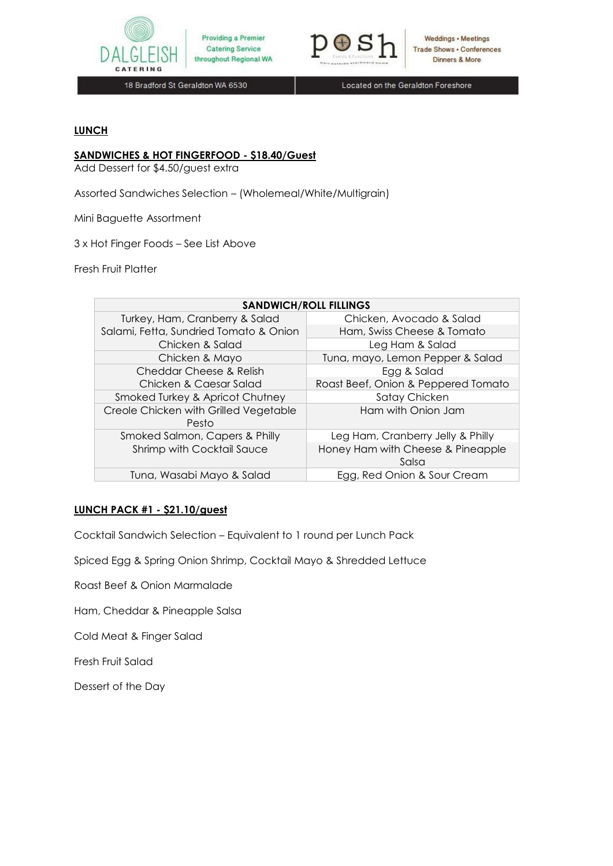



**Weddings • Meetings** Trade Shows . Conferences Dinners & More

18 Bradford St Geraldton WA 6530

Located on the Geraldton Foreshore

# **LUNCH**

# **SANDWICHES & HOT FINGERFOOD - \$18.40/Guest**

Add Dessert for \$4.50/guest extra

Assorted Sandwiches Selection – (Wholemeal/White/Multigrain)

Mini Baguette Assortment

3 x Hot Finger Foods – See List Above

Fresh Fruit Platter

| <b>SANDWICH/ROLL FILLINGS</b>                  |                                            |  |
|------------------------------------------------|--------------------------------------------|--|
| Turkey, Ham, Cranberry & Salad                 | Chicken, Avocado & Salad                   |  |
| Salami, Fetta, Sundried Tomato & Onion         | Ham, Swiss Cheese & Tomato                 |  |
| Chicken & Salad                                | Leg Ham & Salad                            |  |
| Chicken & Mayo                                 | Tuna, mayo, Lemon Pepper & Salad           |  |
| Cheddar Cheese & Relish                        | Egg & Salad                                |  |
| Chicken & Caesar Salad                         | Roast Beef, Onion & Peppered Tomato        |  |
| Smoked Turkey & Apricot Chutney                | Satay Chicken                              |  |
| Creole Chicken with Grilled Vegetable<br>Pesto | Ham with Onion Jam                         |  |
| Smoked Salmon, Capers & Philly                 | Leg Ham, Cranberry Jelly & Philly          |  |
| Shrimp with Cocktail Sauce                     | Honey Ham with Cheese & Pineapple<br>Salsa |  |
| Tuna, Wasabi Mayo & Salad                      | Egg, Red Onion & Sour Cream                |  |

# **LUNCH PACK #1 - \$21.10/guest**

Cocktail Sandwich Selection – Equivalent to 1 round per Lunch Pack

Spiced Egg & Spring Onion Shrimp, Cocktail Mayo & Shredded Lettuce

Roast Beef & Onion Marmalade

Ham, Cheddar & Pineapple Salsa

Cold Meat & Finger Salad

Fresh Fruit Salad

Dessert of the Day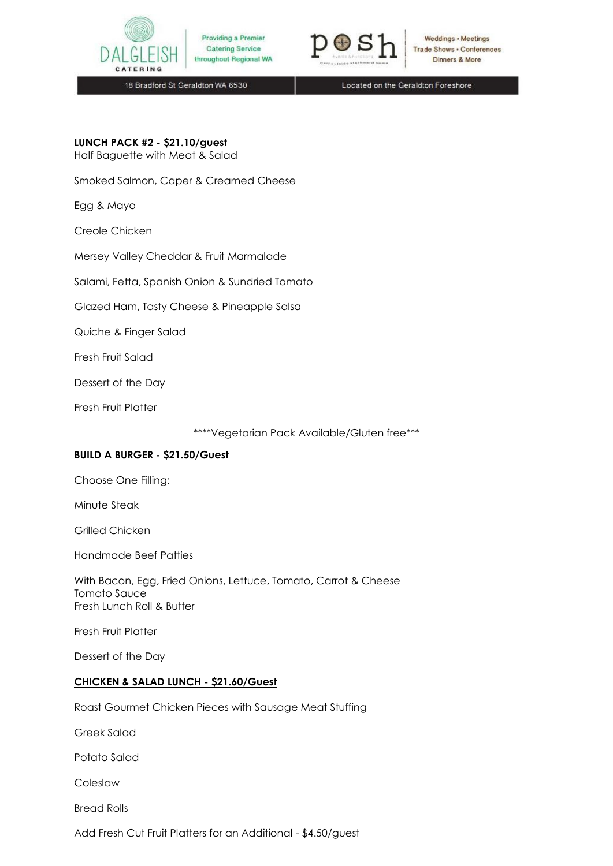



Weddings • Meetings **Trade Shows . Conferences** Dinners & More

18 Bradford St Geraldton WA 6530

Located on the Geraldton Foreshore

# **LUNCH PACK #2 - \$21.10/guest**

Half Baguette with Meat & Salad

Smoked Salmon, Caper & Creamed Cheese

Egg & Mayo

Creole Chicken

Mersey Valley Cheddar & Fruit Marmalade

Salami, Fetta, Spanish Onion & Sundried Tomato

Glazed Ham, Tasty Cheese & Pineapple Salsa

Quiche & Finger Salad

Fresh Fruit Salad

Dessert of the Day

Fresh Fruit Platter

\*\*\*\*Vegetarian Pack Available/Gluten free\*\*\*

# **BUILD A BURGER - \$21.50/Guest**

Choose One Filling:

Minute Steak

Grilled Chicken

Handmade Beef Patties

With Bacon, Egg, Fried Onions, Lettuce, Tomato, Carrot & Cheese Tomato Sauce Fresh Lunch Roll & Butter

Fresh Fruit Platter

Dessert of the Day

#### **CHICKEN & SALAD LUNCH - \$21.60/Guest**

Roast Gourmet Chicken Pieces with Sausage Meat Stuffing

Greek Salad

Potato Salad

Coleslaw

Bread Rolls

Add Fresh Cut Fruit Platters for an Additional - \$4.50/guest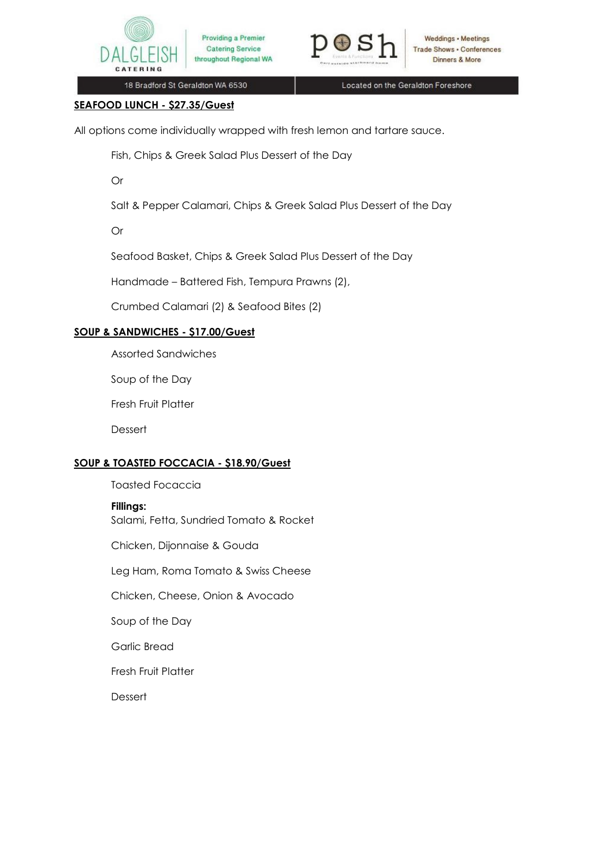



Weddings • Meetings **Trade Shows . Conferences** Dinners & More

18 Bradford St Geraldton WA 6530

Located on the Geraldton Foreshore

# **SEAFOOD LUNCH - \$27.35/Guest**

All options come individually wrapped with fresh lemon and tartare sauce.

Fish, Chips & Greek Salad Plus Dessert of the Day

Or

Salt & Pepper Calamari, Chips & Greek Salad Plus Dessert of the Day

Or

Seafood Basket, Chips & Greek Salad Plus Dessert of the Day

Handmade – Battered Fish, Tempura Prawns (2),

Crumbed Calamari (2) & Seafood Bites (2)

# **SOUP & SANDWICHES - \$17.00/Guest**

Assorted Sandwiches

Soup of the Day

Fresh Fruit Platter

Dessert

# **SOUP & TOASTED FOCCACIA - \$18.90/Guest**

Toasted Focaccia

# **Fillings:**

Salami, Fetta, Sundried Tomato & Rocket

Chicken, Dijonnaise & Gouda

Leg Ham, Roma Tomato & Swiss Cheese

Chicken, Cheese, Onion & Avocado

Soup of the Day

Garlic Bread

Fresh Fruit Platter

**Dessert**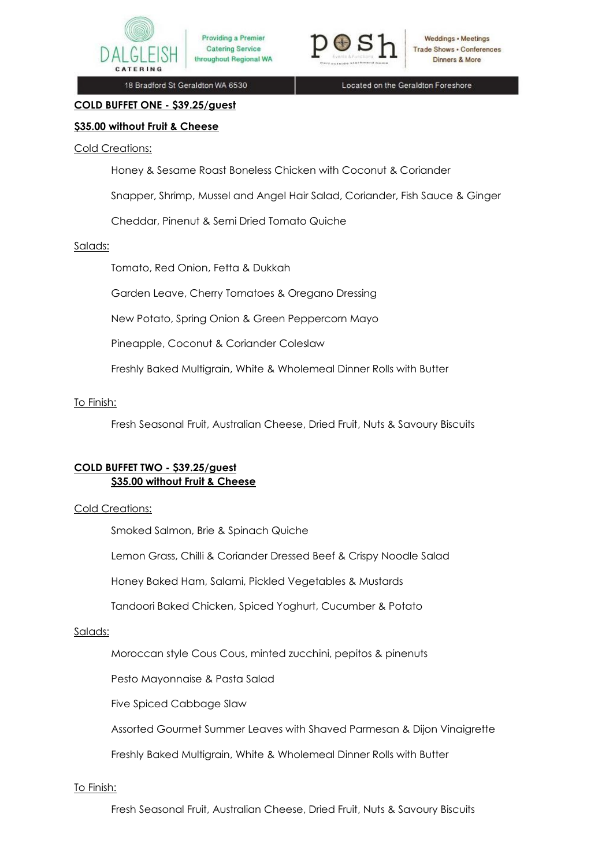



18 Bradford St Geraldton WA 6530

Located on the Geraldton Foreshore

# **\$35.00 without Fruit & Cheese**

**COLD BUFFET ONE - \$39.25/guest**

# Cold Creations:

Honey & Sesame Roast Boneless Chicken with Coconut & Coriander

Snapper, Shrimp, Mussel and Angel Hair Salad, Coriander, Fish Sauce & Ginger

Cheddar, Pinenut & Semi Dried Tomato Quiche

# Salads:

Tomato, Red Onion, Fetta & Dukkah

Garden Leave, Cherry Tomatoes & Oregano Dressing

New Potato, Spring Onion & Green Peppercorn Mayo

Pineapple, Coconut & Coriander Coleslaw

Freshly Baked Multigrain, White & Wholemeal Dinner Rolls with Butter

# To Finish:

Fresh Seasonal Fruit, Australian Cheese, Dried Fruit, Nuts & Savoury Biscuits

# **COLD BUFFET TWO - \$39.25/guest \$35.00 without Fruit & Cheese**

# Cold Creations:

Smoked Salmon, Brie & Spinach Quiche

Lemon Grass, Chilli & Coriander Dressed Beef & Crispy Noodle Salad

Honey Baked Ham, Salami, Pickled Vegetables & Mustards

Tandoori Baked Chicken, Spiced Yoghurt, Cucumber & Potato

# Salads:

Moroccan style Cous Cous, minted zucchini, pepitos & pinenuts

Pesto Mayonnaise & Pasta Salad

Five Spiced Cabbage Slaw

Assorted Gourmet Summer Leaves with Shaved Parmesan & Dijon Vinaigrette

Freshly Baked Multigrain, White & Wholemeal Dinner Rolls with Butter

# To Finish:

Fresh Seasonal Fruit, Australian Cheese, Dried Fruit, Nuts & Savoury Biscuits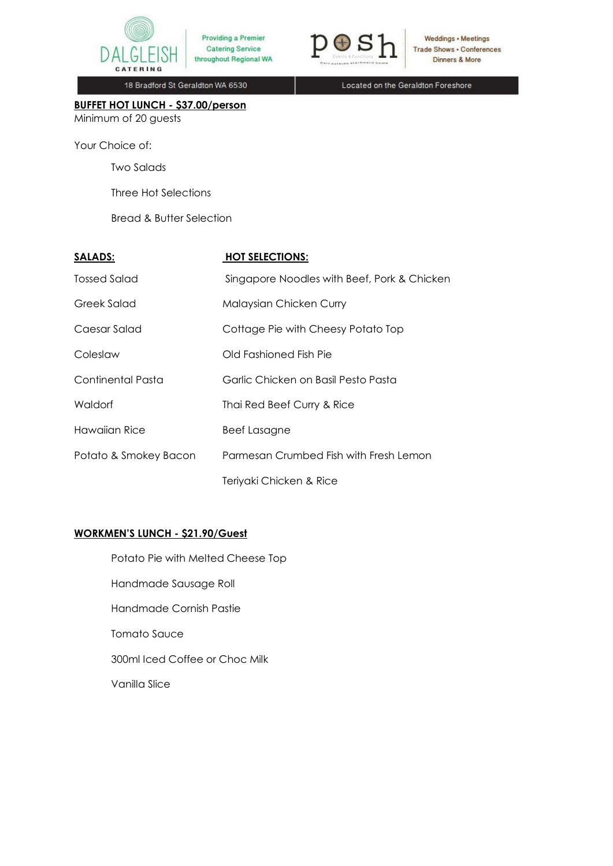



Weddings . Meetings **Trade Shows - Conferences** Dinners & More

18 Bradford St Geraldton WA 6530

Located on the Geraldton Foreshore

**BUFFET HOT LUNCH - \$37.00/person** Minimum of 20 guests

Your Choice of:

Two Salads

Three Hot Selections

Bread & Butter Selection

| <b>SALADS:</b>        | <b>HOT SELECTIONS:</b>                      |
|-----------------------|---------------------------------------------|
| Tossed Salad          | Singapore Noodles with Beef, Pork & Chicken |
| Greek Salad           | Malaysian Chicken Curry                     |
| Caesar Salad          | Cottage Pie with Cheesy Potato Top          |
| Coleslaw              | Old Fashioned Fish Pie                      |
| Continental Pasta     | Garlic Chicken on Basil Pesto Pasta         |
| Waldorf               | Thai Red Beef Curry & Rice                  |
| Hawaiian Rice         | <b>Beef Lasagne</b>                         |
| Potato & Smokey Bacon | Parmesan Crumbed Fish with Fresh Lemon      |
|                       | Teriyaki Chicken & Rice                     |

# **WORKMEN'S LUNCH - \$21.90/Guest**

Potato Pie with Melted Cheese Top Handmade Sausage Roll Handmade Cornish Pastie Tomato Sauce 300ml Iced Coffee or Choc Milk Vanilla Slice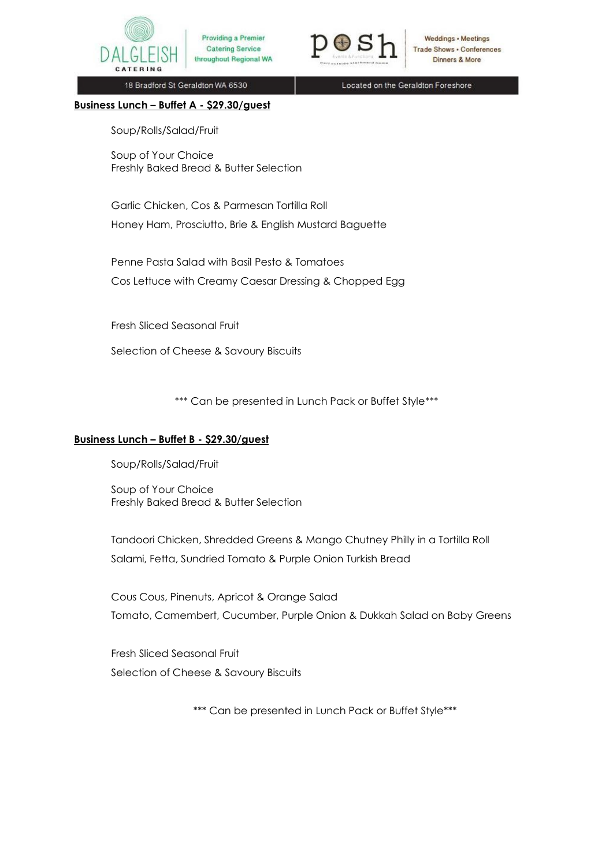



Weddings • Meetings **Trade Shows . Conferences** Dinners & More

18 Bradford St Geraldton WA 6530

Located on the Geraldton Foreshore

#### **Business Lunch – Buffet A - \$29.30/guest**

Soup/Rolls/Salad/Fruit

Soup of Your Choice Freshly Baked Bread & Butter Selection

Garlic Chicken, Cos & Parmesan Tortilla Roll Honey Ham, Prosciutto, Brie & English Mustard Baguette

Penne Pasta Salad with Basil Pesto & Tomatoes Cos Lettuce with Creamy Caesar Dressing & Chopped Egg

Fresh Sliced Seasonal Fruit

Selection of Cheese & Savoury Biscuits

\*\*\* Can be presented in Lunch Pack or Buffet Style\*\*\*

# **Business Lunch – Buffet B - \$29.30/guest**

Soup/Rolls/Salad/Fruit

Soup of Your Choice Freshly Baked Bread & Butter Selection

Tandoori Chicken, Shredded Greens & Mango Chutney Philly in a Tortilla Roll Salami, Fetta, Sundried Tomato & Purple Onion Turkish Bread

Cous Cous, Pinenuts, Apricot & Orange Salad Tomato, Camembert, Cucumber, Purple Onion & Dukkah Salad on Baby Greens

Fresh Sliced Seasonal Fruit Selection of Cheese & Savoury Biscuits

\*\*\* Can be presented in Lunch Pack or Buffet Style\*\*\*